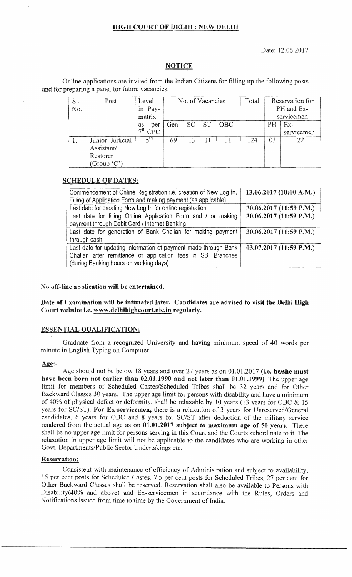## **HIGH COURT OF DELHI: NEW DELHI**

Date: 12.06.2017

## **NOTICE**

Online applications are invited from the Indian Citizens for filling up the following posts and for preparing a panel for future vacancies:

| Sl.<br>No. | Post                                                       | Level<br>in Pay-<br>matrix | No. of Vacancies |           |           | Total | Reservation for<br>PH and Ex-<br>servicemen |    |                     |
|------------|------------------------------------------------------------|----------------------------|------------------|-----------|-----------|-------|---------------------------------------------|----|---------------------|
|            |                                                            | per<br>as<br>$7th$ CPC     | Gen              | <b>SC</b> | <b>ST</b> | OBC   |                                             | PH | $Ex-$<br>servicemen |
|            | Junior Judicial<br>Assistant/<br>Restorer<br>(Group $(C')$ | 5 <sup>th</sup>            | 69               | 13        | 11        | 31    | 124                                         | 03 | 22                  |

## **SCHEDULE OF DATES:**

| Commencement of Online Registration i.e. creation of New Log In,<br>Filling of Application Form and making payment (as applicable) | 13.06.2017 (10:00 A.M.) |
|------------------------------------------------------------------------------------------------------------------------------------|-------------------------|
| Last date for creating New Log In for online registration                                                                          | 30.06.2017 (11:59 P.M.) |
| Last date for filling Online Application Form and / or making                                                                      | 30.06.2017 (11:59 P.M.) |
| payment through Debit Card / Internet Banking                                                                                      |                         |
| Last date for generation of Bank Challan for making payment                                                                        | 30.06.2017 (11:59 P.M.) |
| through cash.                                                                                                                      |                         |
| Last date for updating information of payment made through Bank                                                                    | 03.07.2017 (11:59 P.M.) |
| Challan after remittance of application fees in SBI Branches                                                                       |                         |
| (during Banking hours on working days)                                                                                             |                         |

## No off-line application will be entertained.

Date of Examination will be intimated later. Candidates are advised to visit the Delhi High Court website i.e. www.delhihighcourt.nic.in regularly.

## **ESSENTIAL QUALIFICATION:**

Graduate from a recognized University and having minimum speed of 40 words per minute in English Typing on Computer.

#### Age:

Age should not be below 18 years and over 27 years as on  $01.01.2017$  (i.e. he/she must have been born not earlier than 02.01.1990 and not later than 01.01.1999). The upper limit for members of Scheduled Castes/Scheduled Tribes shall be 32 years and for Backward Classes 30 The upper 40% of physical defect or deformity, shall be relaxable by 10 years (13 years for SC/ST). For Ex-servicemen, there is a relaxation of 3 years for Unreserved/General candidates, 6 years for OBC and 8 years for SC/ST after deduction of the military service rendered from the actual age as on  $01.01.2017$  subject to maximum age of 50 years. There shall be no upper age limit for persons serving in this Court and the Courts subordinate to it. The relaxation in upper age limit will not be applicable to the candidates who are working in other Govt. Departments/Public Sector Undertakings etc.

### Reservation:

Consistent with maintenance of efficiency of Administration and subject to availability, Other Backward Classes shall be reserved. Reservation shall also be available to Persons Disability(40% and above) and Ex-servicemen in accordance with the Rules, Orders and 15 per cent posts for Scheduled Castes, 7.5 per cent posts for Scheduled Tribes, 27 per cent for Notifications issued from time to time by the Government of India.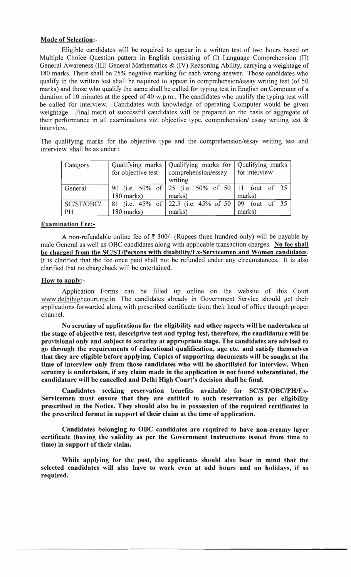# Mode of Selection:

Eligible candidates will be required to appear in a written test of two hours based on Multiple Choice Question pattern in English consisting of (I) Language Comprehension (II) General Awareness (III) General Mathematics & (IV) Reasoning Ability, carrying a weightage of 180 marks. There shall be 25% negative marking for each wrong answer. Those candidates who qualify in the written test shall be required to appear in comprehension/essay writing test (of 50 marks) and those who qualify the same shall be called for typing test in English on Computer of a duration of 10 minutes at the speed of 40 w.p.m.. The candidates who qualify the typing test will be called for interview. Candidates with knowledge of operating Computer would be given weightage. Final merit of successful candidates will be prepared on the basis of aggregate of their performance in all examinations viz. objective type, comprehension/ essay writing test  $\&$ interview.

The qualifying marks for the objective type and the comprehension/essay writing test and interview shall be as under:

| Category   |                    | Qualifying marks   Qualifying marks for   Qualifying marks               |               |  |  |
|------------|--------------------|--------------------------------------------------------------------------|---------------|--|--|
|            | for objective test | comprehension/essay                                                      | for interview |  |  |
|            |                    | writing                                                                  |               |  |  |
| General    |                    |                                                                          |               |  |  |
|            | 180 marks)         | marks)                                                                   | marks)        |  |  |
| SC/ST/OBC/ |                    | 81 (i.e. $45\%$ of $\vert$ 22.5 (i.e. $45\%$ of $50\vert 09$ (out of 35) |               |  |  |
| PH         | 180 marks)         | marks)                                                                   | marks)        |  |  |

## Examination Fee:

A non-refundable online fee of  $\bar{\tau}$  300/- (Rupees three hundred only) will be payable by male General as well as OBC candidates along with applicable transaction charges. No fee shall be charged from the SC/ST/Persons with disability/Ex-Servicemen and Women candidates. It is clarified that the fee once paid shall not be refunded under any circumstances. It is also clarified that no chargeback will be entertained.

## How to apply:-

Application Forms can be filled up online on the website of this Court www.delhihighcourt.nic.in. The candidates already in Government Service should get their applications forwarded along with prescribed certificate from their head of office through proper channel.

No scrutiny of applications for the eligibility and other aspects will be undertaken at the stage of objective test, descriptive test and typing test, therefore, the candidature will be provisional only and subject to scrutiny at appropriate stage. The candidates are advised to go through the requirements of educational qualification, age etc. and satisfy themselves that they are eligible before applying. Copies of supporting documents will be sought at the time of interview only from those candidates who will be shortlisted for interview. When scrutiny is undertaken, if any claim made in the application is not found substantiated, the candidature will be cancelled and Delhi High Court's decision shall be final.

Candidates seeking reservation benefits available for *SC/ST/OBCIPH/Ex-*Servicemen must ensure that they are entitled to such reservation as per eligibility prescribed in the Notice. They should also be in possession of the required certificates in the prescribed format in support of their claim at the time of application.

Candidates belonging to OBC candidates are required to have non-creamy layer certificate (having the validity as per the Government Instructions issued from time to time) in support of their claim.

While applying for the post, the applicants should also bear in mind that the selected candidates will also have to work even at odd hours and on holidays, if so required.